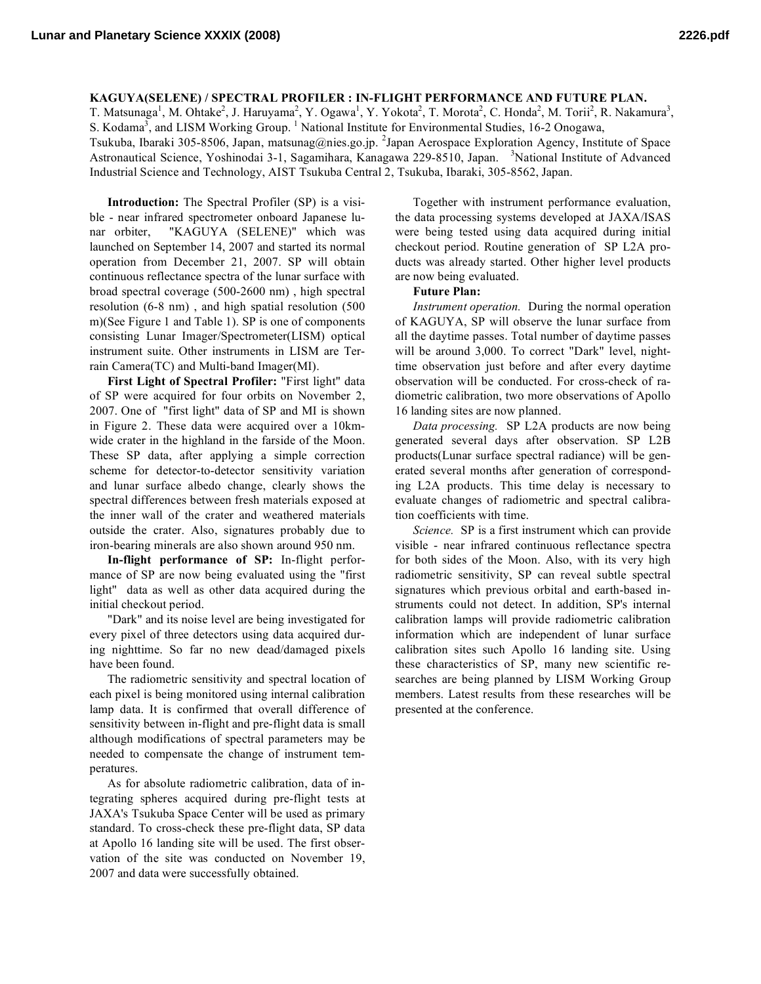## **KAGUYA(SELENE) / SPECTRAL PROFILER : IN-FLIGHT PERFORMANCE AND FUTURE PLAN.**

T. Matsunaga<sup>1</sup>, M. Ohtake<sup>2</sup>, J. Haruyama<sup>2</sup>, Y. Ogawa<sup>1</sup>, Y. Yokota<sup>2</sup>, T. Morota<sup>2</sup>, C. Honda<sup>2</sup>, M. Torii<sup>2</sup>, R. Nakamura<sup>3</sup>, S. Kodama<sup>3</sup>, and LISM Working Group. <sup>1</sup> National Institute for Environmental Studies, 16-2 Onogawa,

Tsukuba, Ibaraki 305-8506, Japan, matsunag@nies.go.jp. <sup>2</sup>Japan Aerospace Exploration Agency, Institute of Space Astronautical Science, Yoshinodai 3-1, Sagamihara, Kanagawa 229-8510, Japan. <sup>3</sup>National Institute of Advanced Industrial Science and Technology, AIST Tsukuba Central 2, Tsukuba, Ibaraki, 305-8562, Japan.

**Introduction:** The Spectral Profiler (SP) is a visible - near infrared spectrometer onboard Japanese lunar orbiter, "KAGUYA (SELENE)" which was launched on September 14, 2007 and started its normal operation from December 21, 2007. SP will obtain continuous reflectance spectra of the lunar surface with broad spectral coverage (500-2600 nm) , high spectral resolution (6-8 nm) , and high spatial resolution (500 m)(See Figure 1 and Table 1). SP is one of components consisting Lunar Imager/Spectrometer(LISM) optical instrument suite. Other instruments in LISM are Terrain Camera(TC) and Multi-band Imager(MI).

**First Light of Spectral Profiler:** "First light" data of SP were acquired for four orbits on November 2, 2007. One of "first light" data of SP and MI is shown in Figure 2. These data were acquired over a 10kmwide crater in the highland in the farside of the Moon. These SP data, after applying a simple correction scheme for detector-to-detector sensitivity variation and lunar surface albedo change, clearly shows the spectral differences between fresh materials exposed at the inner wall of the crater and weathered materials outside the crater. Also, signatures probably due to iron-bearing minerals are also shown around 950 nm.

**In-flight performance of SP:** In-flight performance of SP are now being evaluated using the "first light" data as well as other data acquired during the initial checkout period.

"Dark" and its noise level are being investigated for every pixel of three detectors using data acquired during nighttime. So far no new dead/damaged pixels have been found.

The radiometric sensitivity and spectral location of each pixel is being monitored using internal calibration lamp data. It is confirmed that overall difference of sensitivity between in-flight and pre-flight data is small although modifications of spectral parameters may be needed to compensate the change of instrument temperatures.

As for absolute radiometric calibration, data of integrating spheres acquired during pre-flight tests at JAXA's Tsukuba Space Center will be used as primary standard. To cross-check these pre-flight data, SP data at Apollo 16 landing site will be used. The first observation of the site was conducted on November 19, 2007 and data were successfully obtained.

Together with instrument performance evaluation, the data processing systems developed at JAXA/ISAS were being tested using data acquired during initial checkout period. Routine generation of SP L2A products was already started. Other higher level products are now being evaluated.

## **Future Plan:**

*Instrument operation.* During the normal operation of KAGUYA, SP will observe the lunar surface from all the daytime passes. Total number of daytime passes will be around 3,000. To correct "Dark" level, nighttime observation just before and after every daytime observation will be conducted. For cross-check of radiometric calibration, two more observations of Apollo 16 landing sites are now planned.

*Data processing.* SP L2A products are now being generated several days after observation. SP L2B products(Lunar surface spectral radiance) will be generated several months after generation of corresponding L2A products. This time delay is necessary to evaluate changes of radiometric and spectral calibration coefficients with time.

*Science.* SP is a first instrument which can provide visible - near infrared continuous reflectance spectra for both sides of the Moon. Also, with its very high radiometric sensitivity, SP can reveal subtle spectral signatures which previous orbital and earth-based instruments could not detect. In addition, SP's internal calibration lamps will provide radiometric calibration information which are independent of lunar surface calibration sites such Apollo 16 landing site. Using these characteristics of SP, many new scientific researches are being planned by LISM Working Group members. Latest results from these researches will be presented at the conference.